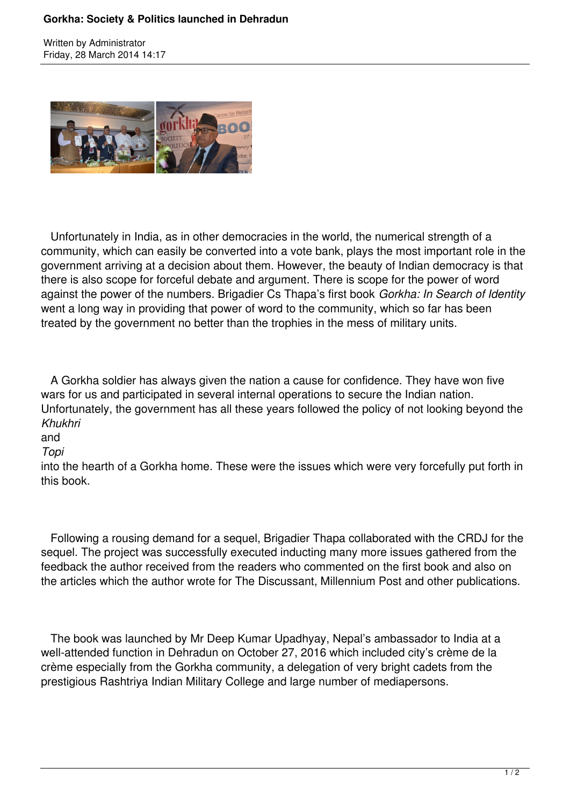#### **Gorkha: Society & Politics launched in Dehradun**

Written by Administrator Friday, 28 March 2014 14:17



 Unfortunately in India, as in other democracies in the world, the numerical strength of a community, which can easily be converted into a vote bank, plays the most important role in the government arriving at a decision about them. However, the beauty of Indian democracy is that there is also scope for forceful debate and argument. There is scope for the power of word against the power of the numbers. Brigadier Cs Thapa's first book *Gorkha: In Search of Identity* went a long way in providing that power of word to the community, which so far has been treated by the government no better than the trophies in the mess of military units.

 A Gorkha soldier has always given the nation a cause for confidence. They have won five wars for us and participated in several internal operations to secure the Indian nation. Unfortunately, the government has all these years followed the policy of not looking beyond the *Khukhri*

# and

#### *Topi*

into the hearth of a Gorkha home. These were the issues which were very forcefully put forth in this book.

 Following a rousing demand for a sequel, Brigadier Thapa collaborated with the CRDJ for the sequel. The project was successfully executed inducting many more issues gathered from the feedback the author received from the readers who commented on the first book and also on the articles which the author wrote for The Discussant, Millennium Post and other publications.

 The book was launched by Mr Deep Kumar Upadhyay, Nepal's ambassador to India at a well-attended function in Dehradun on October 27, 2016 which included city's crème de la crème especially from the Gorkha community, a delegation of very bright cadets from the prestigious Rashtriya Indian Military College and large number of mediapersons.